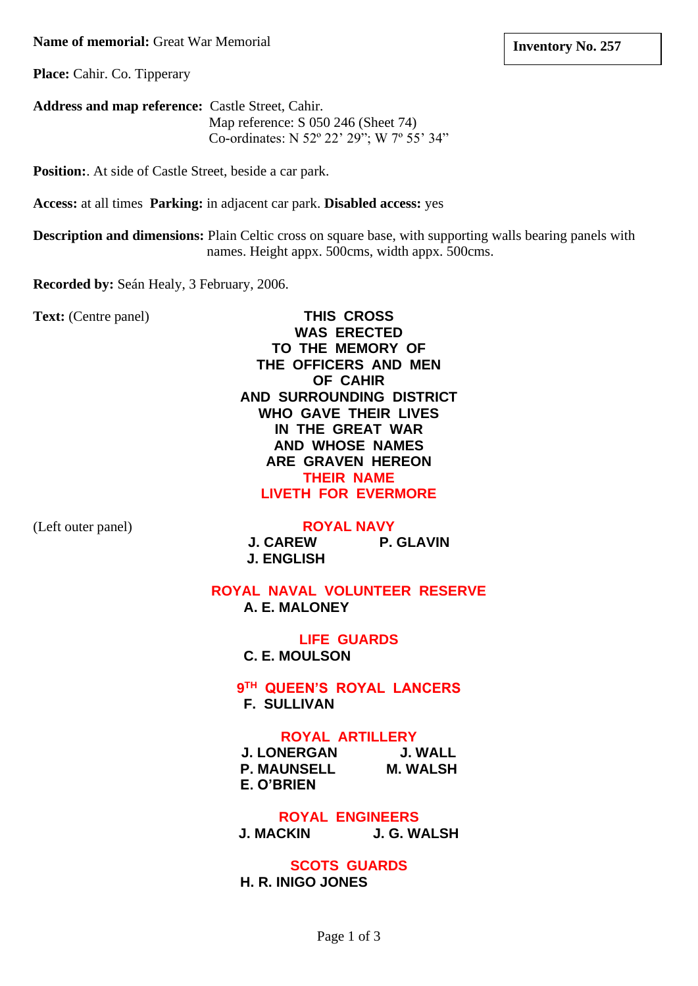#### **Name of memorial:** Great War Memorial

**Place:** Cahir. Co. Tipperary

**Address and map reference:** Castle Street, Cahir. Map reference: S 050 246 (Sheet 74) Co-ordinates: N 52º 22' 29"; W 7º 55' 34"

**Position:**. At side of Castle Street, beside a car park.

**Access:** at all times **Parking:** in adjacent car park. **Disabled access:** yes

**Description and dimensions:** Plain Celtic cross on square base, with supporting walls bearing panels with names. Height appx. 500cms, width appx. 500cms.

**Recorded by:** Seán Healy, 3 February, 2006.

**Text:** (Centre panel) **THIS CROSS**

**WAS ERECTED TO THE MEMORY OF THE OFFICERS AND MEN OF CAHIR AND SURROUNDING DISTRICT WHO GAVE THEIR LIVES IN THE GREAT WAR AND WHOSE NAMES ARE GRAVEN HEREON THEIR NAME LIVETH FOR EVERMORE**

(Left outer panel) **ROYAL NAVY**

**J. CAREW P. GLAVIN J. ENGLISH** 

**ROYAL NAVAL VOLUNTEER RESERVE A. E. MALONEY**

> **LIFE GUARDS C. E. MOULSON**

**9 TH QUEEN'S ROYAL LANCERS F. SULLIVAN**

#### **ROYAL ARTILLERY**

**J. LONERGAN J. WALL P. MAUNSELL M. WALSH E. O'BRIEN**

**ROYAL ENGINEERS J. MACKIN J. G. WALSH**

**SCOTS GUARDS H. R. INIGO JONES**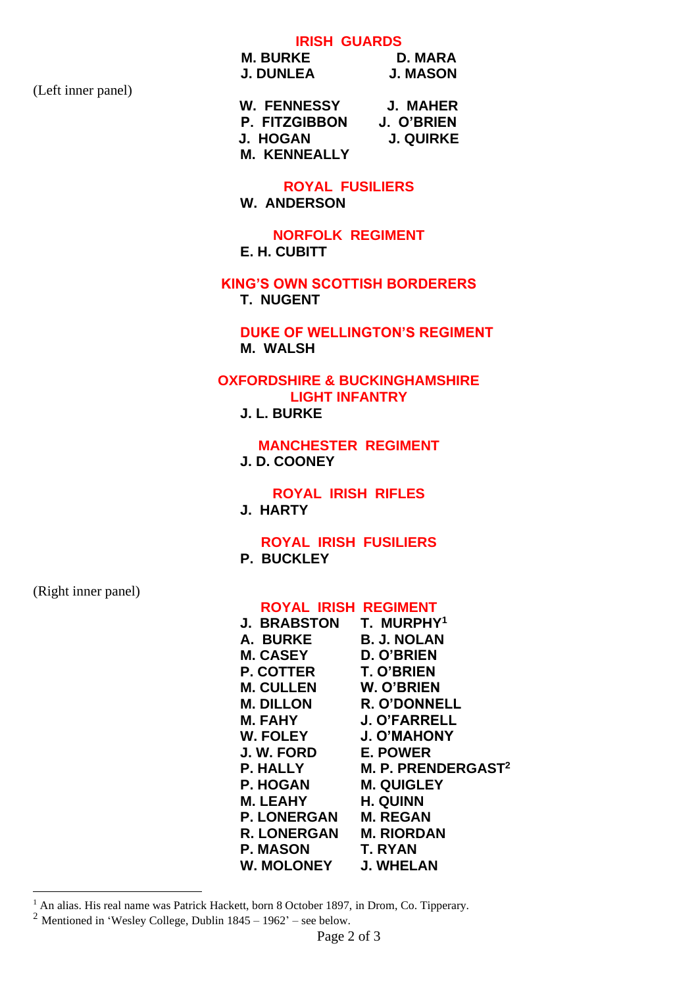# **IRISH GUARDS**

**M. BURKE** D. MARA<br> **J. DUNLEA** J. MASON **J. DUNLEA** 

(Left inner panel)

**W. FENNESSY J. MAHER P. FITZGIBBON J. O'BRIEN J. HOGAN M. KENNEALLY**

### **ROYAL FUSILIERS**

**W. ANDERSON**

#### **NORFOLK REGIMENT E. H. CUBITT**

**KING'S OWN SCOTTISH BORDERERS T. NUGENT**

**DUKE OF WELLINGTON'S REGIMENT M. WALSH**

## **OXFORDSHIRE & BUCKINGHAMSHIRE LIGHT INFANTRY**

**J. L. BURKE**

**MANCHESTER REGIMENT J. D. COONEY**

**ROYAL IRISH RIFLES**

**J. HARTY**

**ROYAL IRISH FUSILIERS P. BUCKLEY**

(Right inner panel)

#### **ROYAL IRISH REGIMENT**

| <b>J. BRABSTON</b> | T. MURPHY <sup>1</sup>         |
|--------------------|--------------------------------|
| A. BURKE           | <b>B. J. NOLAN</b>             |
| <b>M. CASEY</b>    | <b>D. O'BRIEN</b>              |
| <b>P. COTTER</b>   | <b>T. O'BRIEN</b>              |
| <b>M. CULLEN</b>   | W. O'BRIEN                     |
| <b>M. DILLON</b>   | R. O'DONNELL                   |
| <b>M. FAHY</b>     | <b>J. O'FARRELL</b>            |
| <b>W. FOLEY</b>    | <b>J. O'MAHONY</b>             |
| J. W. FORD         | <b>E. POWER</b>                |
| <b>P. HALLY</b>    | M. P. PRENDERGAST <sup>2</sup> |
| <b>P. HOGAN</b>    | <b>M. QUIGLEY</b>              |
| <b>M. LEAHY</b>    | <b>H. QUINN</b>                |
| <b>P. LONERGAN</b> | <b>M. REGAN</b>                |
| <b>R. LONERGAN</b> | <b>M. RIORDAN</b>              |
| <b>P. MASON</b>    | T. RYAN                        |
| <b>W. MOLONEY</b>  | <b>J. WHELAN</b>               |
|                    |                                |

<sup>&</sup>lt;sup>1</sup> An alias. His real name was Patrick Hackett, born 8 October 1897, in Drom, Co. Tipperary.

<sup>&</sup>lt;sup>2</sup> Mentioned in 'Wesley College, Dublin  $1845 - 1962$ ' – see below.